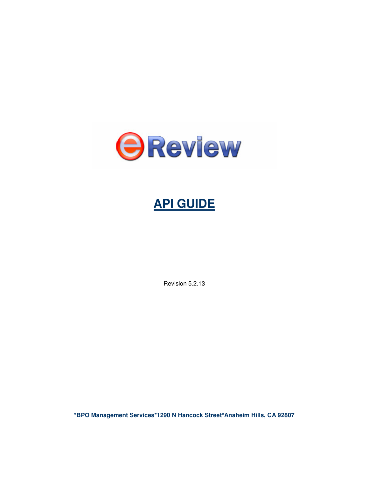

# **API GUIDE**

Revision 5.2.13

**\*BPO Management Services\*1290 N Hancock Street\*Anaheim Hills, CA 92807**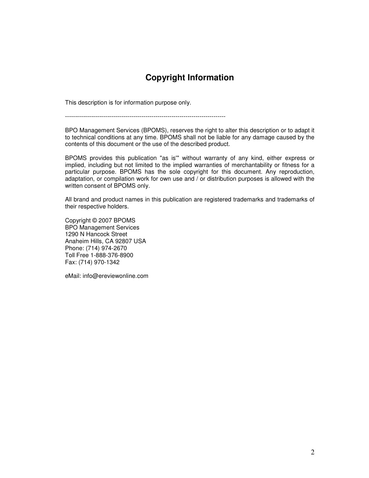## **Copyright Information**

This description is for information purpose only.

--------------------------------------------------------------------------------

BPO Management Services (BPOMS), reserves the right to alter this description or to adapt it to technical conditions at any time. BPOMS shall not be liable for any damage caused by the contents of this document or the use of the described product.

BPOMS provides this publication "as is'" without warranty of any kind, either express or implied, including but not limited to the implied warranties of merchantability or fitness for a particular purpose. BPOMS has the sole copyright for this document. Any reproduction, adaptation, or compilation work for own use and / or distribution purposes is allowed with the written consent of BPOMS only.

All brand and product names in this publication are registered trademarks and trademarks of their respective holders.

Copyright © 2007 BPOMS BPO Management Services 1290 N Hancock Street Anaheim Hills, CA 92807 USA Phone: (714) 974-2670 Toll Free 1-888-376-8900 Fax: (714) 970-1342

eMail: info@ereviewonline.com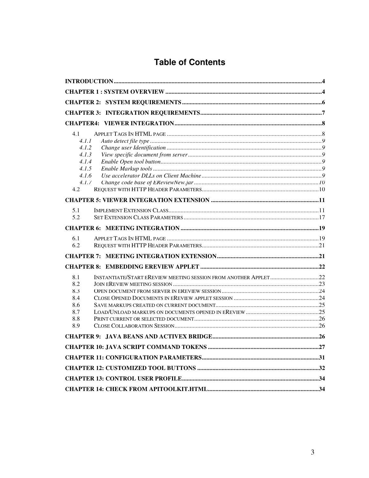## **Table of Contents**

| 4.1   |       |  |
|-------|-------|--|
| 4.1.1 |       |  |
| 4.1.2 |       |  |
| 4.1.3 |       |  |
| 4.1.4 |       |  |
| 4.1.5 |       |  |
| 4.1.6 |       |  |
|       | 4.1.7 |  |
| 4.2   |       |  |
|       |       |  |
| 5.1   |       |  |
| 5.2   |       |  |
|       |       |  |
| 6.1   |       |  |
| 6.2   |       |  |
|       |       |  |
|       |       |  |
| 8.1   |       |  |
| 8.2   |       |  |
| 8.3   |       |  |
| 8.4   |       |  |
| 8.6   |       |  |
| 8.7   |       |  |
| 8.8   |       |  |
| 8.9   |       |  |
|       |       |  |
|       |       |  |
|       |       |  |
|       |       |  |
|       |       |  |
|       |       |  |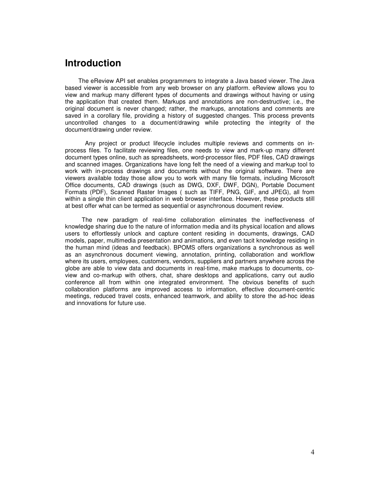## <span id="page-3-0"></span>**Introduction**

 The eReview API set enables programmers to integrate a Java based viewer. The Java based viewer is accessible from any web browser on any platform. eReview allows you to view and markup many different types of documents and drawings without having or using the application that created them. Markups and annotations are non-destructive; i.e., the original document is never changed; rather, the markups, annotations and comments are saved in a corollary file, providing a history of suggested changes. This process prevents uncontrolled changes to a document/drawing while protecting the integrity of the document/drawing under review.

 Any project or product lifecycle includes multiple reviews and comments on inprocess files. To facilitate reviewing files, one needs to view and mark-up many different document types online, such as spreadsheets, word-processor files, PDF files, CAD drawings and scanned images. Organizations have long felt the need of a viewing and markup tool to work with in-process drawings and documents without the original software. There are viewers available today those allow you to work with many file formats, including Microsoft Office documents, CAD drawings (such as DWG, DXF, DWF, DGN), Portable Document Formats (PDF), Scanned Raster Images ( such as TIFF, PNG, GIF, and JPEG), all from within a single thin client application in web browser interface. However, these products still at best offer what can be termed as sequential or asynchronous document review.

 The new paradigm of real-time collaboration eliminates the ineffectiveness of knowledge sharing due to the nature of information media and its physical location and allows users to effortlessly unlock and capture content residing in documents, drawings, CAD models, paper, multimedia presentation and animations, and even tacit knowledge residing in the human mind (ideas and feedback). BPOMS offers organizations a synchronous as well as an asynchronous document viewing, annotation, printing, collaboration and workflow where its users, employees, customers, vendors, suppliers and partners anywhere across the globe are able to view data and documents in real-time, make markups to documents, coview and co-markup with others, chat, share desktops and applications, carry out audio conference all from within one integrated environment. The obvious benefits of such collaboration platforms are improved access to information, effective document-centric meetings, reduced travel costs, enhanced teamwork, and ability to store the ad-hoc ideas and innovations for future use.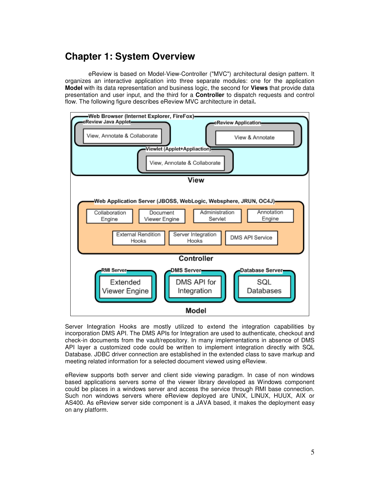## **Chapter 1: System Overview**

 eReview is based on Model-View-Controller ("MVC") architectural design pattern. It organizes an interactive application into three separate modules: one for the application **Model** with its data representation and business logic, the second for **Views** that provide data presentation and user input, and the third for a **Controller** to dispatch requests and control flow. The following figure describes eReview MVC architecture in detail**.** 



Server Integration Hooks are mostly utilized to extend the integration capabilities by incorporation DMS API. The DMS APIs for Integration are used to authenticate, checkout and check-in documents from the vault/repository. In many implementations in absence of DMS API layer a customized code could be written to implement integration directly with SQL Database. JDBC driver connection are established in the extended class to save markup and meeting related information for a selected document viewed using eReview.

eReview supports both server and client side viewing paradigm. In case of non windows based applications servers some of the viewer library developed as Windows component could be places in a windows server and access the service through RMI base connection. Such non windows servers where eReview deployed are UNIX, LINUX, HUUX, AIX or AS400. As eReview server side component is a JAVA based, it makes the deployment easy on any platform.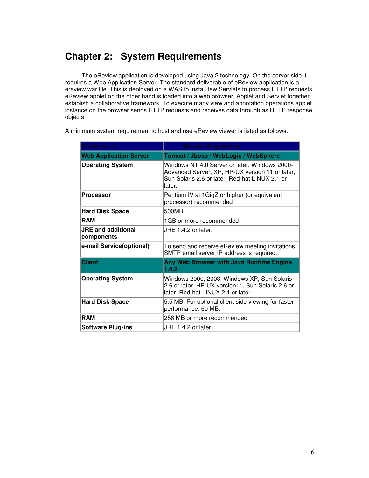## <span id="page-5-0"></span>**Chapter 2: System Requirements**

 The eReview application is developed using Java 2 technology. On the server side it requires a Web Application Server. The standard deliverable of eReview application is a ereview.war file. This is deployed on a WAS to install few Servlets to process HTTP requests. eReview applet on the other hand is loaded into a web browser. Applet and Servlet together establish a collaborative framework. To execute many view and annotation operations applet instance on the browser sends HTTP requests and receives data through as HTTP response objects.

| Environment                             | eReview Requirement                                                                                                                                          |
|-----------------------------------------|--------------------------------------------------------------------------------------------------------------------------------------------------------------|
| <b>Web Application Server</b>           | Tomcat / Jboss / WebLogic / WebSphere                                                                                                                        |
| <b>Operating System</b>                 | Windows NT 4.0 Server or later, Windows 2000-<br>Advanced Server, XP, HP-UX version 11 or later,<br>Sun Solaris 2.6 or later, Red-hat LINUX 2.1 or<br>later. |
| <b>Processor</b>                        | Pentium IV at 1GigZ or higher (or equivalent<br>processor) recommended                                                                                       |
| <b>Hard Disk Space</b>                  | 500MB                                                                                                                                                        |
| <b>RAM</b>                              | 1GB or more recommended                                                                                                                                      |
| <b>JRE and additional</b><br>components | $JRE 1.4.2$ or later.                                                                                                                                        |
| e-mail Service(optional)                | To send and receive eReview meeting invitations<br>SMTP email server IP address is required.                                                                 |
| <b>Client</b>                           | Any Web Browser with Java Runtime Engine<br>1.4.2                                                                                                            |
| <b>Operating System</b>                 | Windows 2000, 2003, Windows XP, Sun Solaris<br>2.6 or later, HP-UX version11, Sun Solaris 2.6 or<br>later, Red-hat LINUX 2.1 or later.                       |
| <b>Hard Disk Space</b>                  | 5.5 MB. For optional client side viewing for faster<br>performance: 60 MB.                                                                                   |
| <b>RAM</b>                              | 256 MB or more recommended                                                                                                                                   |
| <b>Software Plug-ins</b>                | JRE 1.4.2 or later.                                                                                                                                          |

A minimum system requirement to host and use eReview viewer is listed as follows.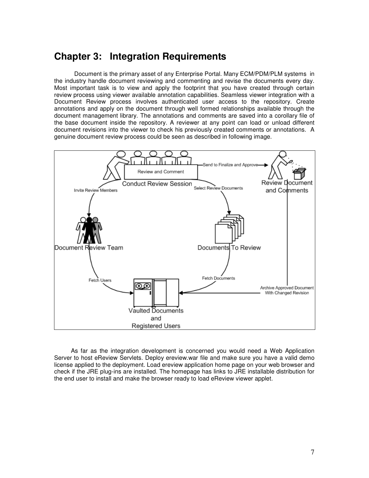## <span id="page-6-0"></span>**Chapter 3: Integration Requirements**

 Document is the primary asset of any Enterprise Portal. Many ECM/PDM/PLM systems in the industry handle document reviewing and commenting and revise the documents every day. Most important task is to view and apply the footprint that you have created through certain review process using viewer available annotation capabilities. Seamless viewer integration with a Document Review process involves authenticated user access to the repository. Create annotations and apply on the document through well formed relationships available through the document management library. The annotations and comments are saved into a corollary file of the base document inside the repository. A reviewer at any point can load or unload different document revisions into the viewer to check his previously created comments or annotations. A genuine document review process could be seen as described in following image.



 As far as the integration development is concerned you would need a Web Application Server to host eReview Servlets. Deploy ereview.war file and make sure you have a valid demo license applied to the deployment. Load ereview application home page on your web browser and check if the JRE plug-ins are installed. The homepage has links to JRE installable distribution for the end user to install and make the browser ready to load eReview viewer applet.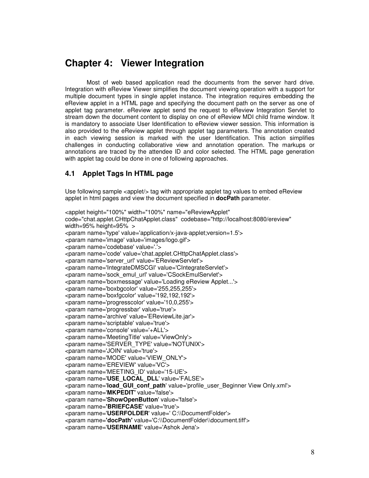## <span id="page-7-0"></span>**Chapter 4: Viewer Integration**

 Most of web based application read the documents from the server hard drive. Integration with eReview Viewer simplifies the document viewing operation with a support for multiple document types in single applet instance. The integration requires embedding the eReview applet in a HTML page and specifying the document path on the server as one of applet tag parameter. eReview applet send the request to eReview Integration Servlet to stream down the document content to display on one of eReview MDI child frame window. It is mandatory to associate User Identification to eReview viewer session. This information is also provided to the eReview applet through applet tag parameters. The annotation created in each viewing session is marked with the user Identification. This action simplifies challenges in conducting collaborative view and annotation operation. The markups or annotations are traced by the attendee ID and color selected. The HTML page generation with applet tag could be done in one of following approaches.

## **4.1 Applet Tags In HTML page**

Use following sample <applet/> tag with appropriate applet tag values to embed eReview applet in html pages and view the document specified in **docPath** parameter.

<applet height="100%" width="100%" name="eReviewApplet" code="chat.applet.CHttpChatApplet.class" codebase="http://localhost:8080/ereview" width=95% height=95% > <param name='type' value='application/x-java-applet;version=1.5'> <param name='image' value='images/logo.gif'> <param name='codebase' value='.'> <param name='code' value='chat.applet.CHttpChatApplet.class'> <param name='server\_url' value='EReviewServlet'> <param name='IntegrateDMSCGI' value='CIntegrateServlet'> <param name='sock\_emul\_url' value='CSockEmulServlet'> <param name='boxmessage' value='Loading eReview Applet...'> <param name='boxbgcolor' value='255,255,255'> <param name='boxfgcolor' value='192,192,192'> <param name='progresscolor' value='10,0,255'> <param name='progressbar' value='true'> <param name='archive' value='EReviewLite.jar'> <param name='scriptable' value='true'> <param name='console' value='+ALL'> <param name='MeetingTitle' value='ViewOnly'> <param name='SERVER\_TYPE' value='NOTUNIX'> <param name='JOIN' value='true'> <param name='MODE' value='VIEW\_ONLY'> <param name='EREVIEW' value='VC'> <param name='MEETING\_ID' value='15-UE'> <param name='**USE\_LOCAL\_DLL**' value='FALSE'> <param name='load GUI conf path' value='profile user Beginner View Only.xml'> <param name='**MKPEDIT'** value='false'> <param name='**ShowOpenButton**' value='false'> <param name=**'BRIEFCASE'** value='true'> <param name='**USERFOLDER**' value=' C:\\DocumentFolder'> <param name=**'docPath'** value='C:\\DocumentFolder\\document.tiff'> <param name='**USERNAME**' value='Ashok Jena'>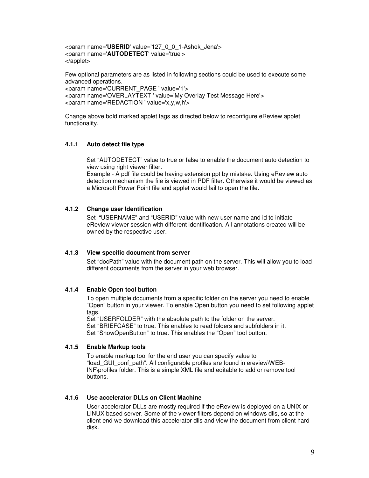<span id="page-8-0"></span><param name='**USERID**' value='127\_0\_0\_1-Ashok\_Jena'> <param name='**AUTODETECT**' value='true'> </applet>

Few optional parameters are as listed in following sections could be used to execute some advanced operations. <param name='CURRENT\_PAGE ' value='1'> <param name='OVERLAYTEXT ' value='My Overlay Test Message Here'> <param name='REDACTION ' value='x,y,w,h'>

Change above bold marked applet tags as directed below to reconfigure eReview applet functionality.

## **4.1.1 Auto detect file type**

Set "AUTODETECT" value to true or false to enable the document auto detection to view using right viewer filter.

Example - A pdf file could be having extension ppt by mistake. Using eReview auto detection mechanism the file is viewed in PDF filter. Otherwise it would be viewed as a Microsoft Power Point file and applet would fail to open the file.

### **4.1.2 Change user Identification**

Set "USERNAME" and "USERID" value with new user name and id to initiate eReview viewer session with different identification. All annotations created will be owned by the respective user.

### **4.1.3 View specific document from server**

Set "docPath" value with the document path on the server. This will allow you to load different documents from the server in your web browser.

### **4.1.4 Enable Open tool button**

To open multiple documents from a specific folder on the server you need to enable "Open" button in your viewer. To enable Open button you need to set following applet tags.

Set "USERFOLDER" with the absolute path to the folder on the server. Set "BRIEFCASE" to true. This enables to read folders and subfolders in it. Set "ShowOpenButton" to true. This enables the "Open" tool button.

#### **4.1.5 Enable Markup tools**

To enable markup tool for the end user you can specify value to "load\_GUI\_conf\_path". All configurable profiles are found in ereview\WEB-INF\profiles folder. This is a simple XML file and editable to add or remove tool buttons.

#### **4.1.6 Use accelerator DLLs on Client Machine**

User accelerator DLLs are mostly required if the eReview is deployed on a UNIX or LINUX based server. Some of the viewer filters depend on windows dlls, so at the client end we download this accelerator dlls and view the document from client hard disk.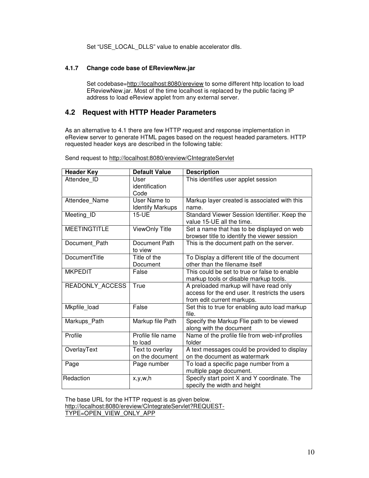Set "USE\_LOCAL\_DLLS" value to enable accelerator dlls.

## <span id="page-9-0"></span>**4.1.7 Change code base of EReviewNew.jar**

Set codebase=http://localhost:8080/ereview to some different http location to load EReviewNew.jar. Most of the time localhost is replaced by the public facing IP address to load eReview applet from any external server.

## **4.2 Request with HTTP Header Parameters**

As an alternative to 4.1 there are few HTTP request and response implementation in eReview server to generate HTML pages based on the request headed parameters. HTTP requested header keys are described in the following table:

| <b>Header Key</b>    | <b>Default Value</b>               | <b>Description</b>                                                                                                      |
|----------------------|------------------------------------|-------------------------------------------------------------------------------------------------------------------------|
| Attendee ID          | User<br>identification             | This identifies user applet session                                                                                     |
|                      | Code                               |                                                                                                                         |
| Attendee_Name        | User Name to                       | Markup layer created is associated with this                                                                            |
|                      | <b>Identify Markups</b>            | name.                                                                                                                   |
| Meeting ID           | 15-UE                              | Standard Viewer Session Identifier. Keep the<br>value 15-UE all the time.                                               |
| <b>MEETINGTITLE</b>  | ViewOnly Title                     | Set a name that has to be displayed on web<br>browser title to identify the viewer session                              |
| Document_Path        | Document Path<br>to view           | This is the document path on the server.                                                                                |
| <b>DocumentTitle</b> | Title of the<br>Document           | To Display a different title of the document<br>other than the filename itself                                          |
| <b>MKPEDIT</b>       | False                              | This could be set to true or false to enable<br>markup tools or disable markup tools.                                   |
| READONLY ACCESS      | True                               | A preloaded markup will have read only<br>access for the end user. It restricts the users<br>from edit current markups. |
| Mkpfile_load         | False                              | Set this to true for enabling auto load markup<br>file.                                                                 |
| Markups_Path         | Markup file Path                   | Specify the Markup Flie path to be viewed<br>along with the document                                                    |
| Profile              | Profile file name<br>to load       | Name of the profile file from web-inf\profiles<br>folder                                                                |
| OverlayText          | Text to overlay<br>on the document | A text messages could be provided to display<br>on the document as watermark                                            |
| Page                 | Page number                        | To load a specific page number from a<br>multiple page document.                                                        |
| Redaction            | x,y,w,h                            | Specify start point X and Y coordinate. The<br>specify the width and height                                             |

Send request to http://localhost:8080/ereview/CIntegrateServlet

The base URL for the HTTP request is as given below.

http://localhost:8080/ereview/CIntegrateServlet?REQUEST-

TYPE=OPEN\_VIEW\_ONLY\_APP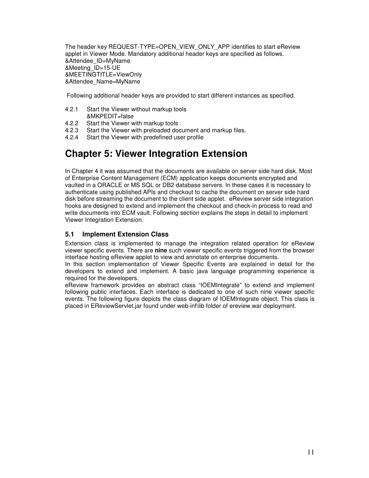<span id="page-10-0"></span>The header key REQUEST-TYPE=OPEN\_VIEW\_ONLY\_APP identifies to start eReview applet in Viewer Mode. Mandatory additional header keys are specified as follows. &Attendee\_ID=MyName &Meeting\_ID=15-UE &MEETINGTITLE=ViewOnly &Attendee\_Name=MyName

Following additional header keys are provided to start different instances as specified.

- 4.2.1 Start the Viewer without markup tools &MKPEDIT=false
- 4.2.2 Start the Viewer with markup tools<br>4.2.3 Start the Viewer with preloaded do
- Start the Viewer with preloaded document and markup files.
- 4.2.4 Start the Viewer with predefined user profile

## **Chapter 5: Viewer Integration Extension**

In Chapter 4 it was assumed that the documents are available on server side hard disk. Most of Enterprise Content Management (ECM) application keeps documents encrypted and vaulted in a ORACLE or MS SQL or DB2 database servers. In these cases it is necessary to authenticate using published APIs and checkout to cache the document on server side hard disk before streaming the document to the client side applet. eReview server side integration hooks are designed to extend and implement the checkout and check-in process to read and write documents into ECM vault. Following section explains the steps in detail to implement Viewer Integration Extension.

## **5.1 Implement Extension Class**

Extension class is implemented to manage the integration related operation for eReview viewer specific events. There are **nine** such viewer specific events triggered from the browser interface hosting eReview applet to view and annotate on enterprise documents.

In this section implementation of Viewer Specific Events are explained in detail for the developers to extend and implement. A basic java language programming experience is required for the developers.

eReview framework provides an abstract class "IOEMIntegrate" to extend and implement following public interfaces. Each interface is dedicated to one of such nine viewer specific events. The following figure depicts the class diagram of IOEMIntegrate object. This class is placed in EReviewServlet.jar found under web-inf\lib folder of ereview.war deployment.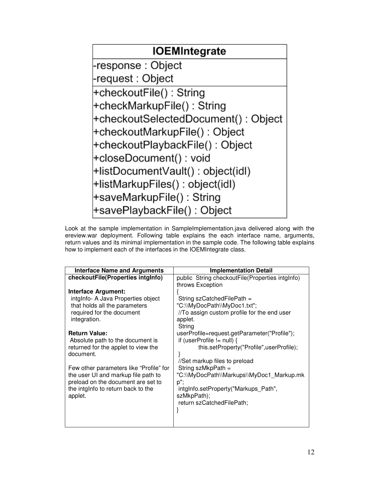

Look at the sample implementation in SampleImplementation.java delivered along with the ereview.war deployment. Following table explains the each interface name, arguments, return values and its minimal implementation in the sample code. The following table explains how to implement each of the interfaces in the IOEMIntegrate class.

| <b>Interface Name and Arguments</b>     | <b>Implementation Detail</b>                        |
|-----------------------------------------|-----------------------------------------------------|
| checkoutFile(Properties intglnfo)       | public String checkoutFile(Properties intglnfo)     |
|                                         | throws Exception                                    |
| <b>Interface Argument:</b>              |                                                     |
| intglnfo- A Java Properties object      | String szCatchedFilePath =                          |
| that holds all the parameters           | "C:\\MyDocPath\\MyDoc1.txt";                        |
| required for the document               | //To assign custom profile for the end user         |
| integration.                            | applet.                                             |
|                                         | String                                              |
| <b>Return Value:</b>                    | userProfile=request.getParameter("Profile");        |
| Absolute path to the document is        | if (userProfile $!=$ null) {                        |
| returned for the applet to view the     | this.setProperty("Profile",userProfile);            |
| document.                               |                                                     |
| Few other parameters like "Profile" for | //Set markup files to preload<br>String szMkpPath = |
| the user UI and markup file path to     | "C:\\MyDocPath\\Markups\\MyDoc1 Markup.mk           |
| preload on the document are set to      | p";                                                 |
| the intglnfo to return back to the      | intgInfo.setProperty("Markups Path",                |
| applet.                                 | szMkpPath);                                         |
|                                         | return szCatchedFilePath;                           |
|                                         |                                                     |
|                                         |                                                     |
|                                         |                                                     |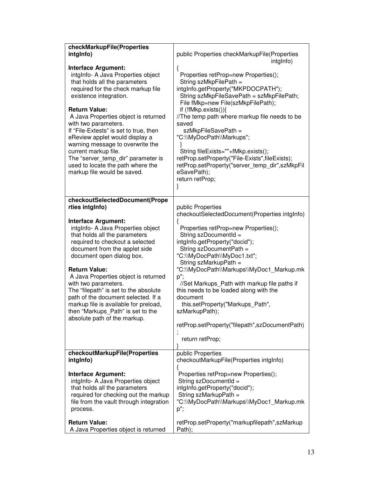| checkMarkupFile(Properties                                                                                                                                                                                                                                                                                                                                                                                                                                                                           |                                                                                                                                                                                                                                                                                                                                                                                                                                                                                                                           |
|------------------------------------------------------------------------------------------------------------------------------------------------------------------------------------------------------------------------------------------------------------------------------------------------------------------------------------------------------------------------------------------------------------------------------------------------------------------------------------------------------|---------------------------------------------------------------------------------------------------------------------------------------------------------------------------------------------------------------------------------------------------------------------------------------------------------------------------------------------------------------------------------------------------------------------------------------------------------------------------------------------------------------------------|
| intglnfo)                                                                                                                                                                                                                                                                                                                                                                                                                                                                                            | public Properties checkMarkupFile(Properties<br>intglnfo)                                                                                                                                                                                                                                                                                                                                                                                                                                                                 |
| Interface Argument:<br>intglnfo- A Java Properties object<br>that holds all the parameters<br>required for the check markup file<br>existence integration.<br><b>Return Value:</b><br>A Java Properties object is returned<br>with two parameters.<br>If "File-Extests" is set to true, then<br>eReview applet would display a<br>warning message to overwrite the<br>current markup file.<br>The "server_temp_dir" parameter is<br>used to locate the path where the<br>markup file would be saved. | {<br>Properties retProp=new Properties();<br>String szMkpFilePath =<br>intgInfo.getProperty("MKPDOCPATH");<br>String szMkpFileSavePath = szMkpFilePath;<br>File fMkp=new File(szMkpFilePath);<br>if (!fMkp.exists()){<br>//The temp path where markup file needs to be<br>saved<br>szMkpFileSavePath =<br>"C:\\MyDocPath\\Markups";<br>String fileExists=""+fMkp.exists();<br>retProp.setProperty("File-Exists",fileExists);<br>retProp.setProperty("server temp dir",szMkpFil<br>eSavePath);<br>return retProp;<br>}     |
| checkoutSelectedDocument(Prope<br>rties intglnfo)                                                                                                                                                                                                                                                                                                                                                                                                                                                    | public Properties                                                                                                                                                                                                                                                                                                                                                                                                                                                                                                         |
| <b>Interface Argument:</b><br>intgInfo- A Java Properties object<br>that holds all the parameters<br>required to checkout a selected<br>document from the applet side<br>document open dialog box.<br><b>Return Value:</b><br>A Java Properties object is returned<br>with two parameters.<br>The "filepath" is set to the absolute<br>path of the document selected. If a<br>markup file is available for preload,<br>then "Markups_Path" is set to the<br>absolute path of the markup.             | checkoutSelectedDocument(Properties intgInfo)<br>Properties retProp=new Properties();<br>String szDocumentId =<br>intgInfo.getProperty("docid");<br>String szDocumentPath =<br>"C:\\MyDocPath\\MyDoc1.txt";<br>String szMarkupPath =<br>"C:\\MyDocPath\\Markups\\MyDoc1_Markup.mk<br>p";<br>//Set Markups_Path with markup file paths if<br>this needs to be loaded along with the<br>document<br>this.setProperty("Markups Path",<br>szMarkupPath);<br>retProp.setProperty("filepath",szDocumentPath)<br>return retProp; |
| checkoutMarkupFile(Properties<br>intglnfo)                                                                                                                                                                                                                                                                                                                                                                                                                                                           | public Properties<br>checkoutMarkupFile(Properties intgInfo)                                                                                                                                                                                                                                                                                                                                                                                                                                                              |
| <b>Interface Argument:</b><br>intglnfo- A Java Properties object<br>that holds all the parameters<br>required for checking out the markup<br>file from the vault through integration<br>process.<br><b>Return Value:</b>                                                                                                                                                                                                                                                                             | Properties retProp=new Properties();<br>String szDocumentId =<br>intgInfo.getProperty("docid");<br>String szMarkupPath =<br>"C:\\MyDocPath\\Markups\\MyDoc1_Markup.mk<br>p";                                                                                                                                                                                                                                                                                                                                              |
| A Java Properties object is returned                                                                                                                                                                                                                                                                                                                                                                                                                                                                 | retProp.setProperty("markupfilepath",szMarkup<br>Path);                                                                                                                                                                                                                                                                                                                                                                                                                                                                   |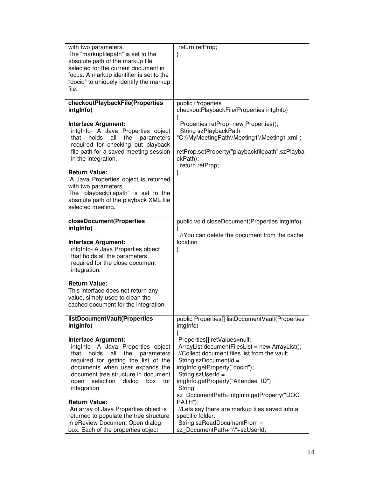| with two parameters.<br>The "markupfilepath" is set to the                       | return retProp;<br>}                                                                           |
|----------------------------------------------------------------------------------|------------------------------------------------------------------------------------------------|
| absolute path of the markup file                                                 |                                                                                                |
| selected for the current document in<br>focus. A markup identifier is set to the |                                                                                                |
| "docid" to uniquely identify the markup                                          |                                                                                                |
| file.                                                                            |                                                                                                |
| checkoutPlaybackFile(Properties                                                  | public Properties                                                                              |
| intglnfo)                                                                        | checkoutPlaybackFile(Properties intgInfo)<br>ł                                                 |
| <b>Interface Argument:</b>                                                       | Properties retProp=new Properties();                                                           |
| intgInfo- A Java Properties object<br>that<br>holds<br>all<br>the<br>parameters  | String szPlaybackPath =<br>"C:\\MyMeetingPath\\Meeting1\\Meeting1.xml";                        |
| required for checking out playback                                               |                                                                                                |
| file path for a saved meeting session<br>in the integration.                     | retProp.setProperty("playbackfilepath",szPlayba<br>ckPath);                                    |
|                                                                                  | return retProp;                                                                                |
| <b>Return Value:</b>                                                             | }                                                                                              |
| A Java Properties object is returned<br>with two parameters.                     |                                                                                                |
| The "playbackfilepath" is set to the                                             |                                                                                                |
| absolute path of the playback XML file<br>selected meeting.                      |                                                                                                |
|                                                                                  |                                                                                                |
| closeDocument(Properties<br>intglnfo)                                            | public void closeDocument(Properties intgInfo)                                                 |
|                                                                                  | //You can delete the document from the cache<br>location                                       |
| <b>Interface Argument:</b><br>intgInfo- A Java Properties object                 | }                                                                                              |
| that holds all the parameters                                                    |                                                                                                |
| required for the close document<br>integration.                                  |                                                                                                |
|                                                                                  |                                                                                                |
| <b>Return Value:</b><br>This interface does not return any                       |                                                                                                |
| value, simply used to clean the                                                  |                                                                                                |
| cached document for the integration.                                             |                                                                                                |
| listDocumentVault(Properties                                                     | public Properties[] listDocumentVault(Properties                                               |
| intglnfo)                                                                        | intgInfo)<br>ł                                                                                 |
| <b>Interface Argument:</b>                                                       | Properties[] retValues=null;                                                                   |
| intglnfo- A Java Properties object<br>the<br>that holds<br>all<br>parameters     | ArrayList documentFilesList = new ArrayList();<br>//Collect document files list from the vault |
| required for getting the list of the                                             | String szDocumentId =                                                                          |
| documents when user expands the<br>document tree structure in document           | intgInfo.getProperty("docid");<br>String szUserId =                                            |
| selection<br>dialog<br>for<br>open<br>box                                        | intgInfo.getProperty("Attendee_ID");                                                           |
| integration.                                                                     | String                                                                                         |
| <b>Return Value:</b>                                                             | sz_DocumentPath=intgInfo.getProperty("DOC_<br>PATH");                                          |
| An array of Java Properties object is                                            | //Lets say there are markup files saved into a                                                 |
| returned to populate the tree structure<br>in eReview Document Open dialog       | specific folder.<br>String szReadDocumentFrom =                                                |
| box. Each of the properties object                                               | sz_DocumentPath+"\\"+szUserId;                                                                 |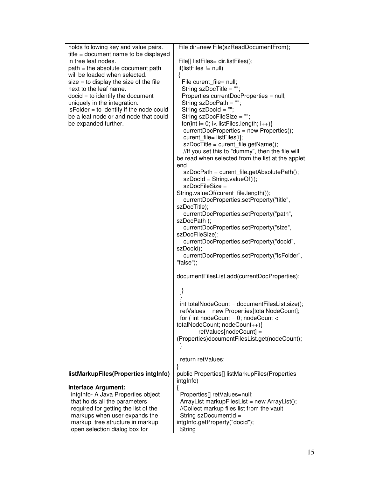| holds following key and value pairs.                               | File dir=new File(szReadDocumentFrom);                             |
|--------------------------------------------------------------------|--------------------------------------------------------------------|
| title = document name to be displayed                              |                                                                    |
| in tree leaf nodes.                                                | File[] listFiles= dir.listFiles();                                 |
| path = the absolute document path                                  | $if(listFiles != null)$                                            |
| will be loaded when selected.                                      |                                                                    |
| $size = to display the size of the file$<br>next to the leaf name. | File curent_file= null;                                            |
| $docid = to identify the document$                                 | String szDocTitle = "";<br>Properties currentDocProperties = null; |
| uniquely in the integration.                                       | String szDocPath = "";                                             |
| isFolder = to identify if the node could                           | String szDocld = "";                                               |
| be a leaf node or and node that could                              | String szDocFileSize = "";                                         |
| be expanded further.                                               | for(int i= 0; i< listFiles.length; $i++$ ){                        |
|                                                                    | currentDocProperties = new Properties();                           |
|                                                                    | curent_file= listFiles[i];                                         |
|                                                                    | szDocTitle = curent_file.getName();                                |
|                                                                    | //If you set this to "dummy", then the file will                   |
|                                                                    | be read when selected from the list at the applet                  |
|                                                                    | end.                                                               |
|                                                                    | szDocPath = curent_file.getAbsolutePath();                         |
|                                                                    | $szDocId = String.valueOf(i);$<br>szDocFileSize =                  |
|                                                                    | String.valueOf(curent_file.length());                              |
|                                                                    | currentDocProperties.setProperty("title",                          |
|                                                                    | szDocTitle);                                                       |
|                                                                    | currentDocProperties.setProperty("path",                           |
|                                                                    | szDocPath );                                                       |
|                                                                    | currentDocProperties.setProperty("size",                           |
|                                                                    | szDocFileSize);                                                    |
|                                                                    | currentDocProperties.setProperty("docid",                          |
|                                                                    | szDocld);                                                          |
|                                                                    | currentDocProperties.setProperty("isFolder",<br>"false");          |
|                                                                    |                                                                    |
|                                                                    | documentFilesList.add(currentDocProperties);                       |
|                                                                    | }                                                                  |
|                                                                    |                                                                    |
|                                                                    | int totalNodeCount = documentFilesList.size();                     |
|                                                                    | retValues = new Properties[totalNodeCount];                        |
|                                                                    | for (int nodeCount = $0$ ; nodeCount <                             |
|                                                                    | totalNodeCount; nodeCount++){<br>retValues[nodeCount] =            |
|                                                                    | (Properties)documentFilesList.get(nodeCount);                      |
|                                                                    |                                                                    |
|                                                                    |                                                                    |
|                                                                    | return retValues;                                                  |
|                                                                    |                                                                    |
| listMarkupFiles(Properties intglnfo)                               | public Properties[] listMarkupFiles(Properties                     |
| <b>Interface Argument:</b>                                         | intglnfo)<br>ł                                                     |
| intgInfo- A Java Properties object                                 | Properties[] retValues=null;                                       |
| that holds all the parameters                                      | ArrayList markupFilesList = new ArrayList();                       |
| required for getting the list of the                               | //Collect markup files list from the vault                         |
| markups when user expands the                                      | String szDocumentId =                                              |
| markup tree structure in markup                                    | intgInfo.getProperty("docid");                                     |
| open selection dialog box for                                      | String                                                             |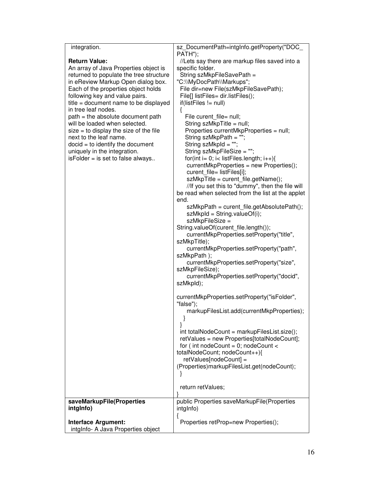| integration.                                                                  | sz_DocumentPath=intgInfo.getProperty("DOC_                                                            |
|-------------------------------------------------------------------------------|-------------------------------------------------------------------------------------------------------|
|                                                                               | PATH");                                                                                               |
| <b>Return Value:</b>                                                          | //Lets say there are markup files saved into a                                                        |
| An array of Java Properties object is                                         | specific folder.                                                                                      |
| returned to populate the tree structure<br>in eReview Markup Open dialog box. | String szMkpFileSavePath =<br>"C:\\MyDocPath\\Markups";                                               |
| Each of the properties object holds                                           | File dir=new File(szMkpFileSavePath);                                                                 |
| following key and value pairs.                                                | File[] listFiles= dir.listFiles();                                                                    |
| title = document name to be displayed                                         | if(listFiles != null)                                                                                 |
| in tree leaf nodes.                                                           | ł                                                                                                     |
| path = the absolute document path                                             | File curent file= null;                                                                               |
| will be loaded when selected.                                                 | String szMkpTitle = null;                                                                             |
| $size = to display the size of the file$                                      | Properties currentMkpProperties = null;                                                               |
| next to the leaf name.                                                        | String szMkpPath = ""                                                                                 |
| $docid = to identify the document$                                            | String szMkpld = "";                                                                                  |
| uniquely in the integration.                                                  | String szMkpFileSize = "";                                                                            |
| $isFolder = is set to false always.$                                          | for(int i= 0; i< listFiles.length; i++){                                                              |
|                                                                               | currentMkpProperties = new Properties();                                                              |
|                                                                               | curent_file= listFiles[i];                                                                            |
|                                                                               | szMkpTitle = curent file.getName();                                                                   |
|                                                                               | //If you set this to "dummy", then the file will<br>be read when selected from the list at the applet |
|                                                                               | end.                                                                                                  |
|                                                                               | szMkpPath = curent_file.getAbsolutePath();                                                            |
|                                                                               | $szMkpld = String.valueOf(i);$                                                                        |
|                                                                               | szMkpFileSize =                                                                                       |
|                                                                               | String.valueOf(curent_file.length());                                                                 |
|                                                                               | currentMkpProperties.setProperty("title",                                                             |
|                                                                               | szMkpTitle);                                                                                          |
|                                                                               | currentMkpProperties.setProperty("path",                                                              |
|                                                                               | szMkpPath);                                                                                           |
|                                                                               | currentMkpProperties.setProperty("size",                                                              |
|                                                                               | szMkpFileSize);                                                                                       |
|                                                                               | currentMkpProperties.setProperty("docid",<br>szMkpld);                                                |
|                                                                               |                                                                                                       |
|                                                                               | currentMkpProperties.setProperty("isFolder",                                                          |
|                                                                               | "false");                                                                                             |
|                                                                               | markupFilesList.add(currentMkpProperties);                                                            |
|                                                                               |                                                                                                       |
|                                                                               |                                                                                                       |
|                                                                               | int totalNodeCount = markupFilesList.size();                                                          |
|                                                                               | retValues = new Properties[totalNodeCount];                                                           |
|                                                                               | for (int nodeCount = $0$ ; nodeCount <                                                                |
|                                                                               | totalNodeCount; nodeCount++){                                                                         |
|                                                                               | retValues[nodeCount] =<br>(Properties)markupFilesList.get(nodeCount);                                 |
|                                                                               | ł                                                                                                     |
|                                                                               |                                                                                                       |
|                                                                               | return retValues;                                                                                     |
|                                                                               |                                                                                                       |
| saveMarkupFile(Properties                                                     | public Properties saveMarkupFile(Properties                                                           |
| intglnfo)                                                                     | intglnfo)                                                                                             |
|                                                                               | ł                                                                                                     |
| <b>Interface Argument:</b>                                                    | Properties retProp=new Properties();                                                                  |
| intgInfo- A Java Properties object                                            |                                                                                                       |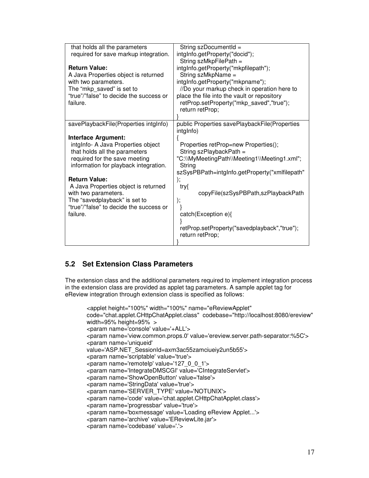<span id="page-16-0"></span>

| that holds all the parameters<br>required for save markup integration.                                                                                                                                                                                                                                                                                      | String szDocumentId =<br>intgInfo.getProperty("docid");<br>String szMkpFilePath =                                                                                                                                                                                                                                                |
|-------------------------------------------------------------------------------------------------------------------------------------------------------------------------------------------------------------------------------------------------------------------------------------------------------------------------------------------------------------|----------------------------------------------------------------------------------------------------------------------------------------------------------------------------------------------------------------------------------------------------------------------------------------------------------------------------------|
| <b>Return Value:</b><br>A Java Properties object is returned<br>with two parameters.<br>The "mkp_saved" is set to<br>"true"/"false" to decide the success or<br>failure.                                                                                                                                                                                    | intgInfo.getProperty("mkpfilepath");<br>String szMkpName =<br>intgInfo.getProperty("mkpname");<br>//Do your markup check in operation here to<br>place the file into the vault or repository<br>retProp.setProperty("mkp_saved","true");<br>return retProp;                                                                      |
| savePlaybackFile(Properties intgInfo)                                                                                                                                                                                                                                                                                                                       | public Properties savePlaybackFile(Properties<br>intgInfo)                                                                                                                                                                                                                                                                       |
| <b>Interface Argument:</b><br>intglnfo- A Java Properties object<br>that holds all the parameters<br>required for the save meeting<br>information for playback integration.<br><b>Return Value:</b><br>A Java Properties object is returned<br>with two parameters.<br>The "savedplayback" is set to<br>"true"/"false" to decide the success or<br>failure. | Properties retProp=new Properties();<br>String szPlaybackPath =<br>"C:\\MyMeetingPath\\Meeting1\\Meeting1.xml";<br>String<br>szSysPBPath=intgInfo.getProperty("xmlfilepath"<br>);<br>try{<br>copyFile(szSysPBPath,szPlaybackPath<br>);<br>catch(Exception e){<br>retProp.setProperty("savedplayback","true");<br>return retProp; |

## **5.2 Set Extension Class Parameters**

The extension class and the additional parameters required to implement integration process in the extension class are provided as applet tag parameters. A sample applet tag for eReview integration through extension class is specified as follows:

```
<applet height="100%" width="100%" name="eReviewApplet" 
code="chat.applet.CHttpChatApplet.class" codebase="http://localhost:8080/ereview" 
width=95% height=95% > 
<param name='console' value='+ALL'> 
<param name='view.common.props.0' value='ereview.server.path-separator:%5C'> 
<param name='uniqueid' 
value='ASP.NET_SessionId=axm3ac55zamciueiy2un5b55'>
<param name='scriptable' value='true'> 
<param name='remoteIp' value='127_0_0_1'> 
<param name='IntegrateDMSCGI' value='CIntegrateServlet'> 
<param name='ShowOpenButton' value='false'> 
<param name='StringData' value='true'> 
<param name='SERVER_TYPE' value='NOTUNIX'> 
<param name='code' value='chat.applet.CHttpChatApplet.class'> 
<param name='progressbar' value='true'> 
<param name='boxmessage' value='Loading eReview Applet...'> 
<param name='archive' value='EReviewLite.jar'> 
<param name='codebase' value='.'>
```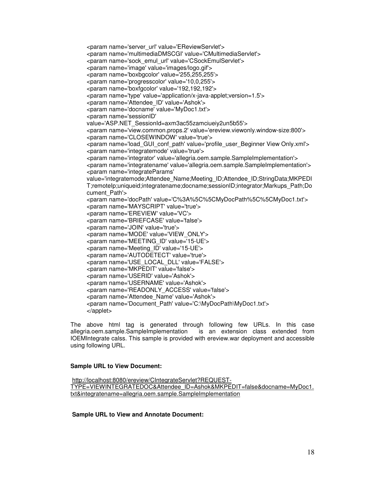```
<param name='server_url' value='EReviewServlet'> 
<param name='multimediaDMSCGI' value='CMultimediaServlet'> 
<param name='sock_emul_url' value='CSockEmulServlet'> 
<param name='image' value='images/logo.gif'> 
<param name='boxbgcolor' value='255,255,255'> 
<param name='progresscolor' value='10,0,255'> 
<param name='boxfgcolor' value='192,192,192'> 
<param name='type' value='application/x-java-applet;version=1.5'> 
<param name='Attendee_ID' value='Ashok'> 
<param name='docname' value='MyDoc1.txt'> 
<param name='sessionID' 
value='ASP.NET_SessionId=axm3ac55zamciueiy2un5b55'>
<param name='view.common.props.2' value='ereview.viewonly.window-size:800'> 
<param name='CLOSEWINDOW' value='true'> 
<param name='load_GUI_conf_path' value='profile_user_Beginner View Only.xml'> 
<param name='integratemode' value='true'> 
<param name='integrator' value='allegria.oem.sample.SampleImplementation'> 
<param name='integratename' value='allegria.oem.sample.SampleImplementation'> 
<param name='integrateParams' 
value='integratemode;Attendee_Name;Meeting_ID;Attendee_ID;StringData;MKPEDI
T;remoteIp;uniqueid;integratename;docname;sessionID;integrator;Markups_Path;Do
cument Path's
<param name='docPath' value='C%3A%5C%5CMyDocPath%5C%5CMyDoc1.txt'> 
<param name='MAYSCRIPT' value='true'> 
<param name='EREVIEW' value='VC'> 
<param name='BRIEFCASE' value='false'> 
<param name='JOIN' value='true'> 
<param name='MODE' value='VIEW_ONLY'> 
<param name='MEETING_ID' value='15-UE'> 
<param name='Meeting_ID' value='15-UE'> 
<param name='AUTODETECT' value='true'> 
<param name='USE_LOCAL_DLL' value='FALSE'> 
<param name='MKPEDIT' value='false'> 
<param name='USERID' value='Ashok'> 
<param name='USERNAME' value='Ashok'> 
<param name='READONLY_ACCESS' value='false'> 
<param name='Attendee_Name' value='Ashok'> 
<param name='Document_Path' value='C:\MyDocPath\MyDoc1.txt'> 
</applet>
```
The above html tag is generated through following few URLs. In this case allegria.oem.sample.SampleImplementation is an extension class extended from IOEMIntegrate calss. This sample is provided with ereview.war deployment and accessible using following URL.

#### **Sample URL to View Document:**

 http://localhost:8080/ereview/CIntegrateServlet?REQUEST-TYPE=VIEWINTEGRATEDOC&Attendee\_ID=Ashok&MKPEDIT=false&docname=MyDoc1. txt&integratename=allegria.oem.sample.SampleImplementation

 **Sample URL to View and Annotate Document:**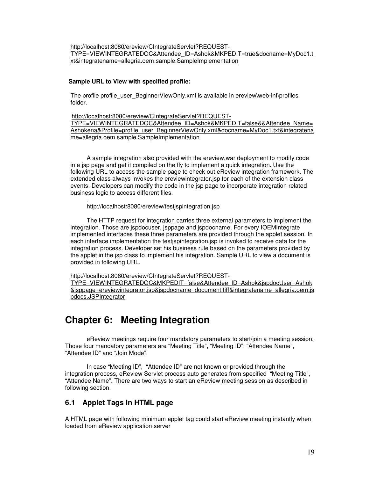<span id="page-18-0"></span>http://localhost:8080/ereview/CIntegrateServlet?REQUEST-TYPE=VIEWINTEGRATEDOC&Attendee\_ID=Ashok&MKPEDIT=true&docname=MyDoc1.t xt&integratename=allegria.oem.sample.SampleImplementation

## **Sample URL to View with specified profile:**

The profile profile user BeginnerViewOnly.xml is available in ereview\web-inf\profiles folder.

 http://localhost:8080/ereview/CIntegrateServlet?REQUEST-TYPE=VIEWINTEGRATEDOC&Attendee\_ID=Ashok&MKPEDIT=false&&Attendee\_Name= Ashokena&Profile=profile\_user\_BeginnerViewOnly.xml&docname=MyDoc1.txt&integratena me=allegria.oem.sample.SampleImplementation

A sample integration also provided with the ereview.war deployment to modify code in a jsp page and get it compiled on the fly to implement a quick integration. Use the following URL to access the sample page to check out eReview integration framework. The extended class always invokes the ereviewintegrator.jsp for each of the extension class events. Developers can modify the code in the jsp page to incorporate integration related business logic to access different files.

. http://localhost:8080/ereview/testjspintegration.jsp

The HTTP request for integration carries three external parameters to implement the integration. Those are jspdocuser, jsppage and jspdocname. For every IOEMIntegrate implemented interfaces these three parameters are provided through the applet session. In each interface implementation the testjspintegration.jsp is invoked to receive data for the integration process. Developer set his business rule based on the parameters provided by the applet in the jsp class to implement his integration. Sample URL to view a document is provided in following URL.

http://localhost:8080/ereview/CIntegrateServlet?REQUEST-

TYPE=VIEWINTEGRATEDOC&MKPEDIT=false&Attendee\_ID=Ashok&jspdocUser=Ashok &jsppage=ereviewintegrator.jsp&jspdocname=document.tiff&integratename=allegria.oem.js pdocs.JSPIntegrator

## **Chapter 6: Meeting Integration**

 eReview meetings require four mandatory parameters to start/join a meeting session. Those four mandatory parameters are "Meeting Title", "Meeting ID", "Attendee Name", "Attendee ID" and "Join Mode".

 In case "Meeting ID", "Attendee ID" are not known or provided through the integration process, eReview Servlet process auto generates from specified "Meeting Title", "Attendee Name". There are two ways to start an eReview meeting session as described in following section.

## **6.1 Applet Tags In HTML page**

A HTML page with following minimum applet tag could start eReview meeting instantly when loaded from eReview application server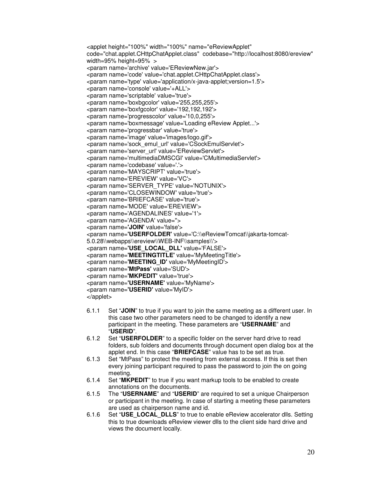```
<applet height="100%" width="100%" name="eReviewApplet" 
code="chat.applet.CHttpChatApplet.class" codebase="http://localhost:8080/ereview" 
width=95% height=95% > 
<param name='archive' value='EReviewNew.jar'> 
<param name='code' value='chat.applet.CHttpChatApplet.class'> 
<param name='type' value='application/x-java-applet;version=1.5'> 
<param name='console' value='+ALL'> 
<param name='scriptable' value='true'> 
<param name='boxbgcolor' value='255,255,255'> 
<param name='boxfgcolor' value='192,192,192'> 
<param name='progresscolor' value='10,0,255'> 
<param name='boxmessage' value='Loading eReview Applet...'> 
<param name='progressbar' value='true'> 
<param name='image' value='images/logo.gif'> 
<param name='sock_emul_url' value='CSockEmulServlet'> 
<param name='server_url' value='EReviewServlet'> 
<param name='multimediaDMSCGI' value='CMultimediaServlet'> 
<param name='codebase' value='.'> 
<param name='MAYSCRIPT' value='true'> 
<param name='EREVIEW' value='VC'> 
<param name='SERVER_TYPE' value='NOTUNIX'> 
<param name='CLOSEWINDOW' value='true'> 
<param name='BRIEFCASE' value='true'> 
<param name='MODE' value='EREVIEW'> 
<param name='AGENDALINES' value='1'> 
<param name='AGENDA' value=''> 
<param name='JOIN' value='false'> 
<param name='USERFOLDER' value='C:\\eReviewTomcat\\jakarta-tomcat-
5.0.28\\webapps\\ereview\\WEB-INF\\samples\\'> 
<param name='USE_LOCAL_DLL' value='FALSE'> 
<param name='MEETINGTITLE' value='MyMeetingTitle'> 
<param name='MEETING_ID' value='MyMeetingID'> 
<param name='MtPass' value='SUD'> 
<param name='MKPEDIT' value='true'> 
<param name='USERNAME' value='MyName'> 
<param name='USERID' value='MyID'> 
</applet>
```
- 6.1.1 Set "**JOIN**" to true if you want to join the same meeting as a different user. In this case two other parameters need to be changed to identify a new participant in the meeting. These parameters are "**USERNAME**" and "**USERID**".
- 6.1.2 Set "**USERFOLDER**" to a specific folder on the server hard drive to read folders, sub folders and documents through document open dialog box at the applet end. In this case "**BRIEFCASE**" value has to be set as true.
- 6.1.3 Set "MtPass" to protect the meeting from external access. If this is set then every joining participant required to pass the password to join the on going meeting.
- 6.1.4 Set "**MKPEDIT**" to true if you want markup tools to be enabled to create annotations on the documents.
- 6.1.5 The "**USERNAME**" and "**USERID**" are required to set a unique Chairperson or participant in the meeting. In case of starting a meeting these parameters are used as chairperson name and id.
- 6.1.6 Set "**USE\_LOCAL\_DLLS**" to true to enable eReview accelerator dlls. Setting this to true downloads eReview viewer dlls to the client side hard drive and views the document locally.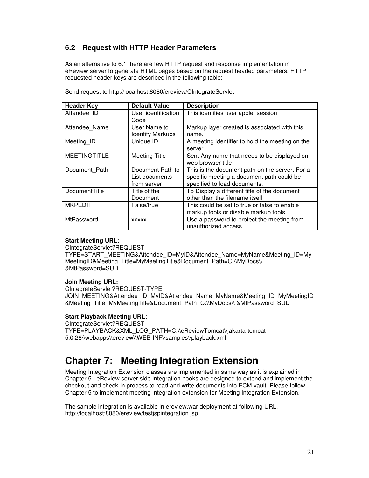## <span id="page-20-0"></span>**6.2 Request with HTTP Header Parameters**

As an alternative to 6.1 there are few HTTP request and response implementation in eReview server to generate HTML pages based on the request headed parameters. HTTP requested header keys are described in the following table:

| <b>Header Key</b>   | <b>Default Value</b>                              | <b>Description</b>                                                                                                          |
|---------------------|---------------------------------------------------|-----------------------------------------------------------------------------------------------------------------------------|
| Attendee ID         | User identification<br>Code                       | This identifies user applet session                                                                                         |
| Attendee Name       | User Name to<br><b>Identify Markups</b>           | Markup layer created is associated with this<br>name.                                                                       |
| Meeting_ID          | Unique ID                                         | A meeting identifier to hold the meeting on the<br>server.                                                                  |
| <b>MEETINGTITLE</b> | <b>Meeting Title</b>                              | Sent Any name that needs to be displayed on<br>web browser title                                                            |
| Document Path       | Document Path to<br>List documents<br>from server | This is the document path on the server. For a<br>specific meeting a document path could be<br>specified to load documents. |
| DocumentTitle       | Title of the<br>Document                          | To Display a different title of the document<br>other than the filename itself                                              |
| <b>MKPEDIT</b>      | False/true                                        | This could be set to true or false to enable<br>markup tools or disable markup tools.                                       |
| MtPassword          | <b>XXXXX</b>                                      | Use a password to protect the meeting from<br>unauthorized access                                                           |

Send request to http://localhost:8080/ereview/CIntegrateServlet

## **Start Meeting URL:**

CIntegrateServlet?REQUEST-

TYPE=START\_MEETING&Attendee\_ID=MyID&Attendee\_Name=MyName&Meeting\_ID=My MeetingID&Meeting\_Title=MyMeetingTitle&Document\_Path=C:\\MyDocs\\ &MtPassword=SUD

## **Join Meeting URL:**

CIntegrateServlet?REQUEST-TYPE= JOIN\_MEETING&Attendee\_ID=MyID&Attendee\_Name=MyName&Meeting\_ID=MyMeetingID &Meeting\_Title=MyMeetingTitle&Document\_Path=C:\\MyDocs\\ &MtPassword=SUD

## **Start Playback Meeting URL:**

CIntegrateServlet?REQUEST-TYPE=PLAYBACK&XML\_LOG\_PATH=C:\\eReviewTomcat\\jakarta-tomcat-5.0.28\\webapps\\ereview\\WEB-INF\\samples\\playback.xml

## **Chapter 7: Meeting Integration Extension**

Meeting Integration Extension classes are implemented in same way as it is explained in Chapter 5. eReview server side integration hooks are designed to extend and implement the checkout and check-in process to read and write documents into ECM vault. Please follow Chapter 5 to implement meeting integration extension for Meeting Integration Extension.

The sample integration is available in ereview.war deployment at following URL. http://localhost:8080/ereview/testjspintegration.jsp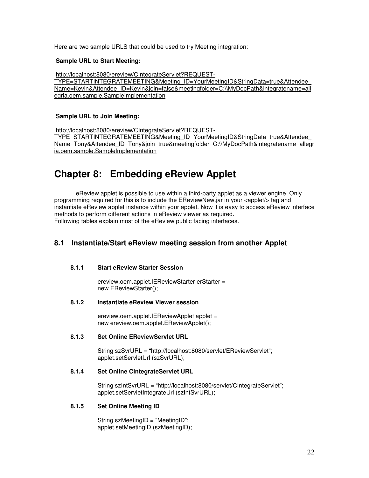<span id="page-21-0"></span>Here are two sample URLS that could be used to try Meeting integration:

## **Sample URL to Start Meeting:**

 http://localhost:8080/ereview/CIntegrateServlet?REQUEST-TYPE=STARTINTEGRATEMEETING&Meeting\_ID=YourMeetingID&StringData=true&Attendee\_ Name=Kevin&Attendee\_ID=Kevin&join=false&meetingfolder=C:\\MyDocPath&integratename=all egria.oem.sample.SampleImplementation

## **Sample URL to Join Meeting:**

 http://localhost:8080/ereview/CIntegrateServlet?REQUEST-TYPE=STARTINTEGRATEMEETING&Meeting\_ID=YourMeetingID&StringData=true&Attendee\_ Name=Tony&Attendee\_ID=Tony&join=true&meetingfolder=C:\\MyDocPath&integratename=allegr ia.oem.sample.SampleImplementation

## **Chapter 8: Embedding eReview Applet**

 eReview applet is possible to use within a third-party applet as a viewer engine. Only programming required for this is to include the EReviewNew.jar in your <applet/> tag and instantiate eReview applet instance within your applet. Now it is easy to access eReview interface methods to perform different actions in eReview viewer as required. Following tables explain most of the eReview public facing interfaces.

## **8.1 Instantiate/Start eReview meeting session from another Applet**

## **8.1.1 Start eReview Starter Session**

ereview.oem.applet.IEReviewStarter erStarter = new EReviewStarter();

## **8.1.2 Instantiate eReview Viewer session**

ereview.oem.applet.IEReviewApplet applet = new ereview.oem.applet.EReviewApplet();

## **8.1.3 Set Online EReviewServlet URL**

String szSvrURL = "http://localhost:8080/servlet/EReviewServlet"; applet.setServletUrl (szSvrURL);

## **8.1.4 Set Online CIntegrateServlet URL**

String szIntSvrURL = "http://localhost:8080/servlet/CIntegrateServlet"; applet.setServletIntegrateUrl (szIntSvrURL);

## **8.1.5 Set Online Meeting ID**

String szMeetingID = "MeetingID"; applet.setMeetingID (szMeetingID);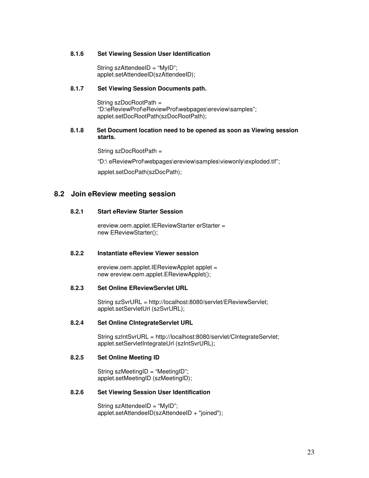### <span id="page-22-0"></span>**8.1.6 Set Viewing Session User Identification**

String szAttendeeID = "MyID"; applet.setAttendeeID(szAttendeeID);

## **8.1.7 Set Viewing Session Documents path.**

 String szDocRootPath = "D:\eReviewProf\eReviewProf\webpages\ereview\samples"; applet.setDocRootPath(szDocRootPath);

## **8.1.8 Set Document location need to be opened as soon as Viewing session starts.**

String szDocRootPath =

"D:\ eReviewProf\webpages\ereview\samples\viewonly\exploded.tif";

applet.setDocPath(szDocPath);

## **8.2 Join eReview meeting session**

## **8.2.1 Start eReview Starter Session**

ereview.oem.applet.IEReviewStarter erStarter = new EReviewStarter();

## **8.2.2 Instantiate eReview Viewer session**

ereview.oem.applet.IEReviewApplet applet = new ereview.oem.applet.EReviewApplet();

#### **8.2.3 Set Online EReviewServlet URL**

String szSvrURL = http://localhost:8080/servlet/EReviewServlet; applet.setServletUrl (szSvrURL);

### **8.2.4 Set Online CIntegrateServlet URL**

String szIntSvrURL = http://localhost:8080/servlet/CIntegrateServlet; applet.setServletIntegrateUrl (szIntSvrURL);

#### **8.2.5 Set Online Meeting ID**

String szMeetingID = "MeetingID"; applet.setMeetingID (szMeetingID);

## **8.2.6 Set Viewing Session User Identification**

String szAttendeeID = "MyID"; applet.setAttendeeID(szAttendeeID + "joined");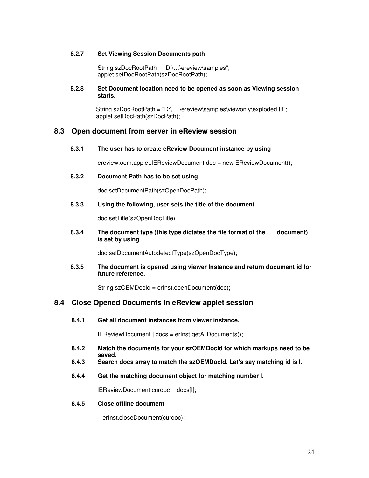### <span id="page-23-0"></span>**8.2.7 Set Viewing Session Documents path**

String szDocRootPath = "D:\…\ereview\samples"; applet.setDocRootPath(szDocRootPath);

## **8.2.8 Set Document location need to be opened as soon as Viewing session starts.**

String szDocRootPath = "D:\....\ereview\samples\viewonly\exploded.tif"; applet.setDocPath(szDocPath);

## **8.3 Open document from server in eReview session**

**8.3.1 The user has to create eReview Document instance by using** 

ereview.oem.applet.IEReviewDocument doc = new EReviewDocument();

**8.3.2 Document Path has to be set using** 

doc.setDocumentPath(szOpenDocPath);

### **8.3.3 Using the following, user sets the title of the document**

doc.setTitle(szOpenDocTitle)

**8.3.4 The document type (this type dictates the file format of the document) is set by using** 

doc.setDocumentAutodetectType(szOpenDocType);

**8.3.5 The document is opened using viewer Instance and return document id for future reference.** 

String szOEMDocId = erInst.openDocument(doc);

## **8.4 Close Opened Documents in eReview applet session**

**8.4.1 Get all document instances from viewer instance.** 

IEReviewDocument[] docs = erInst.getAllDocuments();

- **8.4.2 Match the documents for your szOEMDocId for which markups need to be saved.**
- **8.4.3 Search docs array to match the szOEMDocId. Let's say matching id is I.**
- **8.4.4 Get the matching document object for matching number I.**

**IEReviewDocument curdoc = docs[I];** 

#### **8.4.5 Close offline document**

erInst.closeDocument(curdoc);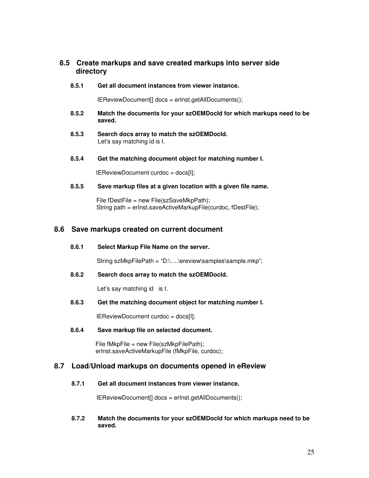## <span id="page-24-0"></span>**8.5 Create markups and save created markups into server side directory**

#### **8.5.1 Get all document instances from viewer instance.**

IEReviewDocument[] docs = erInst.getAllDocuments();

- **8.5.2 Match the documents for your szOEMDocId for which markups need to be saved.**
- **8.5.3 Search docs array to match the szOEMDocId.**  Let's say matching id is I.

#### **8.5.4 Get the matching document object for matching number I.**

IEReviewDocument curdoc = docs[I];

### **8.5.5 Save markup files at a given location with a given file name.**

 File fDestFile = new File(szSaveMkpPath); String path = erInst.saveActiveMarkupFile(curdoc, fDestFile);

## **8.6 Save markups created on current document**

**8.6.1 Select Markup File Name on the server.** 

String szMkpFilePath = "D:\….\ereview\samples\sample.mkp";

#### **8.6.2 Search docs array to match the szOEMDocId.**

Let's say matching id is I.

## **8.6.3 Get the matching document object for matching number I.**

IEReviewDocument curdoc = docs[I];

#### **8.6.4 Save markup file on selected document.**

 File fMkpFile = new File(szMkpFilePath); erInst.saveActiveMarkupFile (fMkpFile, curdoc);

## **8.7 Load/Unload markups on documents opened in eReview**

### **8.7.1 Get all document instances from viewer instance.**

IEReviewDocument[] docs = erInst.getAllDocuments();

**8.7.2 Match the documents for your szOEMDocId for which markups need to be saved.**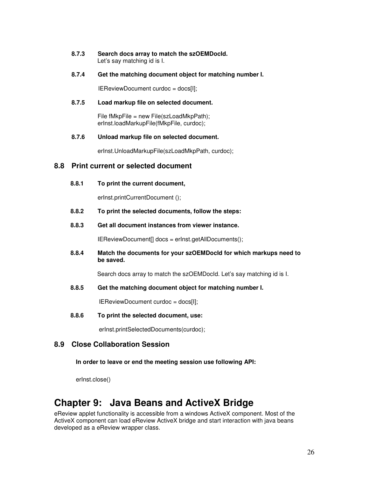<span id="page-25-0"></span>

| 8.7.3 | Search docs array to match the szOEMDocld. |
|-------|--------------------------------------------|
|       | Let's say matching id is I.                |

**8.7.4 Get the matching document object for matching number I.** 

IEReviewDocument curdoc = docs[I];

#### **8.7.5 Load markup file on selected document.**

File fMkpFile = new File(szLoadMkpPath); erInst.loadMarkupFile(fMkpFile, curdoc);

#### **8.7.6 Unload markup file on selected document.**

erInst.UnloadMarkupFile(szLoadMkpPath, curdoc);

## **8.8 Print current or selected document**

**8.8.1 To print the current document,** 

erInst.printCurrentDocument ();

- **8.8.2 To print the selected documents, follow the steps:**
- **8.8.3 Get all document instances from viewer instance.**

IEReviewDocument[] docs = erInst.getAllDocuments();

**8.8.4 Match the documents for your szOEMDocId for which markups need to be saved.** 

Search docs array to match the szOEMDocId. Let's say matching id is I.

**8.8.5 Get the matching document object for matching number I.** 

IEReviewDocument curdoc = docs[I];

**8.8.6 To print the selected document, use:** 

erInst.printSelectedDocuments(curdoc);

## **8.9 Close Collaboration Session**

**In order to leave or end the meeting session use following API:** 

erInst.close()

## **Chapter 9: Java Beans and ActiveX Bridge**

eReview applet functionality is accessible from a windows ActiveX component. Most of the ActiveX component can load eReview ActiveX bridge and start interaction with java beans developed as a eReview wrapper class.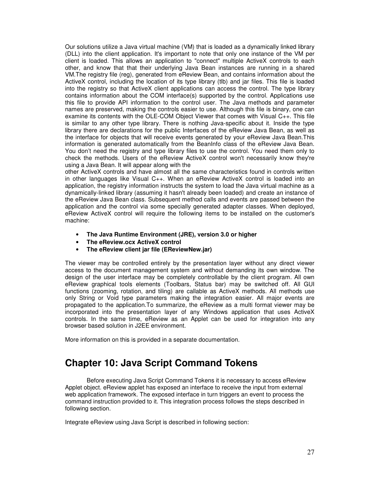<span id="page-26-0"></span>Our solutions utilize a Java virtual machine (VM) that is loaded as a dynamically linked library (DLL) into the client application. It's important to note that only one instance of the VM per client is loaded. This allows an application to "connect" multiple ActiveX controls to each other, and know that that their underlying Java Bean instances are running in a shared VM.The registry file (reg), generated from eReview Bean, and contains information about the ActiveX control, including the location of its type library (tlb) and jar files. This file is loaded into the registry so that ActiveX client applications can access the control. The type library contains information about the COM interface(s) supported by the control. Applications use this file to provide API information to the control user. The Java methods and parameter names are preserved, making the controls easier to use. Although this file is binary, one can examine its contents with the OLE-COM Object Viewer that comes with Visual C++. This file is similar to any other type library. There is nothing Java-specific about it. Inside the type library there are declarations for the public Interfaces of the eReview Java Bean, as well as the interface for objects that will receive events generated by your eReview Java Bean.This information is generated automatically from the BeanInfo class of the eReview Java Bean. You don't need the registry and type library files to use the control. You need them only to check the methods. Users of the eReview ActiveX control won't necessarily know they're using a Java Bean. It will appear along with the

other ActiveX controls and have almost all the same characteristics found in controls written in other languages like Visual C++. When an eReview ActiveX control is loaded into an application, the registry information instructs the system to load the Java virtual machine as a dynamically-linked library (assuming it hasn't already been loaded) and create an instance of the eReview Java Bean class. Subsequent method calls and events are passed between the application and the control via some specially generated adapter classes. When deployed, eReview ActiveX control will require the following items to be installed on the customer's machine:

- **The Java Runtime Environment (JRE), version 3.0 or higher**
- **The eReview.ocx ActiveX control**
- **The eReview client jar file (EReviewNew.jar)**

The viewer may be controlled entirely by the presentation layer without any direct viewer access to the document management system and without demanding its own window. The design of the user interface may be completely controllable by the client program. All own eReview graphical tools elements (Toolbars, Status bar) may be switched off. All GUI functions (zooming, rotation, and tiling) are callable as ActiveX methods. All methods use only String or Void type parameters making the integration easier. All major events are propagated to the application.To summarize, the eReview as a multi format viewer may be incorporated into the presentation layer of any Windows application that uses ActiveX controls. In the same time, eReview as an Applet can be used for integration into any browser based solution in J2EE environment.

More information on this is provided in a separate documentation.

## **Chapter 10: Java Script Command Tokens**

Before executing Java Script Command Tokens it is necessary to access eReview Applet object. eReview applet has exposed an interface to receive the input from external web application framework. The exposed interface in turn triggers an event to process the command instruction provided to it. This integration process follows the steps described in following section.

Integrate eReview using Java Script is described in following section: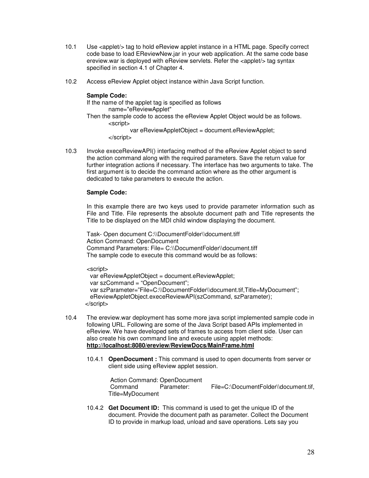- 10.1 Use <applet/> tag to hold eReview applet instance in a HTML page. Specify correct code base to load EReviewNew.jar in your web application. At the same code base ereview.war is deployed with eReview servlets. Refer the <applet/> tag syntax specified in section 4.1 of Chapter 4.
- 10.2 Access eReview Applet object instance within Java Script function.

### **Sample Code:**

 If the name of the applet tag is specified as follows name="eReviewApplet" Then the sample code to access the eReview Applet Object would be as follows. <script> var eReviewAppletObject = document.eReviewApplet; </script>

10.3 Invoke execeReviewAPI() interfacing method of the eReview Applet object to send the action command along with the required parameters. Save the return value for further integration actions if necessary. The interface has two arguments to take. The first argument is to decide the command action where as the other argument is dedicated to take parameters to execute the action.

### **Sample Code:**

In this example there are two keys used to provide parameter information such as File and Title. File represents the absolute document path and Title represents the Title to be displayed on the MDI child window displaying the document.

 Task- Open document C:\\DocumentFolder\\document.tiff Action Command: OpenDocument Command Parameters: File= C:\\DocumentFolder\\document.tiff The sample code to execute this command would be as follows:

<script>

```
var eReviewAppletObject = document.eReviewApplet;
  var szCommand = "OpenDocument"; 
  var szParameter="File=C:\\DocumentFolder\\document.tif,Title=MyDocument"; 
  eReviewAppletObject.execeReviewAPI(szCommand, szParameter); 
 </script>
```
- 10.4 The ereview.war deployment has some more java script implemented sample code in following URL. Following are some of the Java Script based APIs implemented in eReview. We have developed sets of frames to access from client side. User can also create his own command line and execute using applet methods: **http://localhost:8080/ereview/ReviewDocs/MainFrame.html**
	- 10.4.1 **OpenDocument :** This command is used to open documents from server or client side using eReview applet session.

Action Command: OpenDocument Command Parameter: File=C:\DocumentFolder\\document.tif, Title=MyDocument

10.4.2 **Get Document ID:** This command is used to get the unique ID of the document. Provide the document path as parameter. Collect the Document ID to provide in markup load, unload and save operations. Lets say you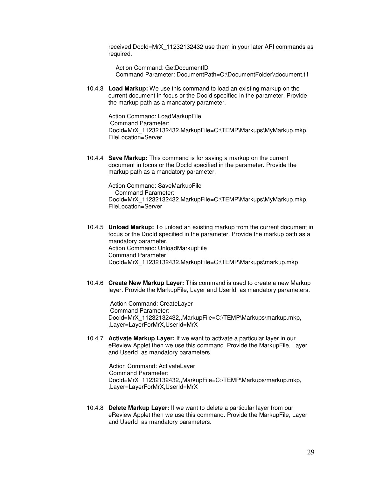received DocId=MrX\_11232132432 use them in your later API commands as required.

Action Command: GetDocumentID Command Parameter: DocumentPath=C:\DocumentFolder\\document.tif

10.4.3 **Load Markup:** We use this command to load an existing markup on the current document in focus or the DocId specified in the parameter. Provide the markup path as a mandatory parameter.

Action Command: LoadMarkupFile Command Parameter: DocId=MrX\_11232132432,MarkupFile=C:\TEMP\Markups\MyMarkup.mkp, FileLocation=Server

10.4.4 **Save Markup:** This command is for saving a markup on the current document in focus or the DocId specified in the parameter. Provide the markup path as a mandatory parameter.

> Action Command: SaveMarkupFile Command Parameter: DocId=MrX\_11232132432,MarkupFile=C:\TEMP\Markups\MyMarkup.mkp, FileLocation=Server

- 10.4.5 **Unload Markup:** To unload an existing markup from the current document in focus or the DocId specified in the parameter. Provide the markup path as a mandatory parameter. Action Command: UnloadMarkupFile Command Parameter: DocId=MrX\_11232132432,MarkupFile=C:\TEMP\Markups\markup.mkp
- 10.4.6 **Create New Markup Layer:** This command is used to create a new Markup layer. Provide the MarkupFile, Layer and UserId as mandatory parameters.

 Action Command: CreateLayer Command Parameter: DocId=MrX\_11232132432,,MarkupFile=C:\TEMP\Markups\markup.mkp, ,Layer=LayerForMrX,UserId=MrX

10.4.7 **Activate Markup Layer:** If we want to activate a particular layer in our eReview Applet then we use this command. Provide the MarkupFile, Layer and UserId as mandatory parameters.

 Action Command: ActivateLayer Command Parameter: DocId=MrX\_11232132432,,MarkupFile=C:\TEMP\Markups\markup.mkp, ,Layer=LayerForMrX,UserId=MrX

10.4.8 **Delete Markup Layer:** If we want to delete a particular layer from our eReview Applet then we use this command. Provide the MarkupFile, Layer and UserId as mandatory parameters.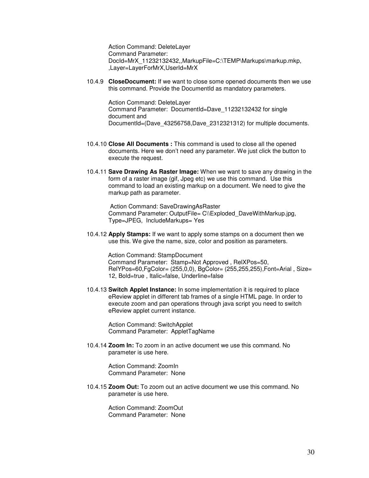Action Command: DeleteLayer Command Parameter: DocId=MrX\_11232132432,,MarkupFile=C:\TEMP\Markups\markup.mkp, ,Layer=LayerForMrX,UserId=MrX

10.4.9 **CloseDocument:** If we want to close some opened documents then we use this command. Provide the DocumentId as mandatory parameters.

Action Command: DeleteLayer Command Parameter: DocumentId=Dave\_11232132432 for single document and DocumentId=(Dave\_43256758,Dave\_2312321312) for multiple documents.

- 10.4.10 **Close All Documents :** This command is used to close all the opened documents. Here we don't need any parameter. We just click the button to execute the request.
- 10.4.11 **Save Drawing As Raster Image:** When we want to save any drawing in the form of a raster image (gif, Jpeg etc) we use this command. Use this command to load an existing markup on a document. We need to give the markup path as parameter.

 Action Command: SaveDrawingAsRaster Command Parameter: OutputFile= C\\Exploded DaveWithMarkup.jpg, Type=JPEG, IncludeMarkups= Yes

10.4.12 **Apply Stamps:** If we want to apply some stamps on a document then we use this. We give the name, size, color and position as parameters.

 Action Command: StampDocument Command Parameter: Stamp=Not Approved , RelXPos=50, RelYPos=60,FgColor= (255,0,0), BgColor= (255,255,255),Font=Arial , Size= 12, Bold=true , Italic=false, Underline=false

10.4.13 **Switch Applet Instance:** In some implementation it is required to place eReview applet in different tab frames of a single HTML page. In order to execute zoom and pan operations through java script you need to switch eReview applet current instance.

Action Command: SwitchApplet Command Parameter: AppletTagName

10.4.14 **Zoom In:** To zoom in an active document we use this command. No parameter is use here.

> Action Command: ZoomIn Command Parameter: None

10.4.15 **Zoom Out:** To zoom out an active document we use this command. No parameter is use here.

> Action Command: ZoomOut Command Parameter: None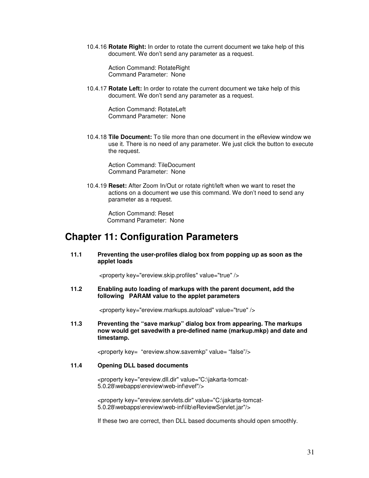<span id="page-30-0"></span>10.4.16 **Rotate Right:** In order to rotate the current document we take help of this document. We don't send any parameter as a request.

Action Command: RotateRight Command Parameter: None

10.4.17 **Rotate Left:** In order to rotate the current document we take help of this document. We don't send any parameter as a request.

> Action Command: RotateLeft Command Parameter: None

10.4.18 **Tile Document:** To tile more than one document in the eReview window we use it. There is no need of any parameter. We just click the button to execute the request.

Action Command: TileDocument Command Parameter: None

10.4.19 **Reset:** After Zoom In/Out or rotate right/left when we want to reset the actions on a document we use this command. We don't need to send any parameter as a request.

Action Command: Reset Command Parameter: None

## **Chapter 11: Configuration Parameters**

**11.1 Preventing the user-profiles dialog box from popping up as soon as the applet loads** 

<property key="ereview.skip.profiles" value="true" />

**11.2 Enabling auto loading of markups with the parent document, add the following PARAM value to the applet parameters** 

<property key="ereview.markups.autoload" value="true" />

**11.3 Preventing the "save markup" dialog box from appearing. The markups now would get savedwith a pre-defined name (markup.mkp) and date and timestamp.** 

<property key= "ereview.show.savemkp" value= "false"/>

### **11.4 Opening DLL based documents**

<property key="ereview.dll.dir" value="C:\jakarta-tomcat-5.0.28\webapps\ereview\web-inf\evef"/>

<property key="ereview.servlets.dir" value="C:\jakarta-tomcat-5.0.28\webapps\ereview\web-inf\lib\eReviewServlet.jar"/>

If these two are correct, then DLL based documents should open smoothly.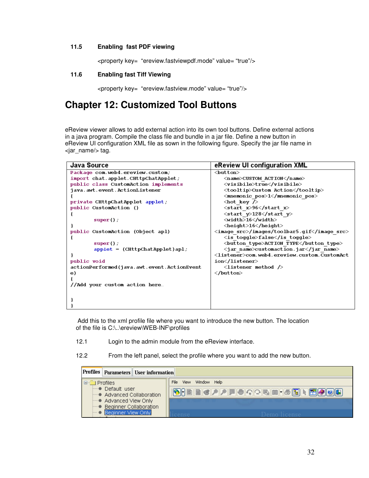## <span id="page-31-0"></span>**11.5 Enabling fast PDF viewing**

<property key= "ereview.fastviewpdf.mode" value= "true"/>

### **11.6 Enabling fast Tiff Viewing**

<property key= "ereview.fastview.mode" value= "true"/>

## **Chapter 12: Customized Tool Buttons**

eReview viewer allows to add external action into its own tool buttons. Define external actions in a java program. Compile the class file and bundle in a jar file. Define a new button in eReview UI configuration XML file as sown in the following figure. Specify the jar file name in <jar\_name/> tag.

| Java Source                                | eReview UI configuration XML                           |
|--------------------------------------------|--------------------------------------------------------|
| Package com.web4.ereview.custom;           | $<$ button $>$                                         |
| import chat.applet.CHttpChatApplet;        | <name>CUSTOM ACTION</name>                             |
| public class CustomAction implements       | <visibile>true</visibile>                              |
| java.awt.event.ActionListener              | <tooltip>Custom Action</tooltip>                       |
|                                            | <mnemonic pos="">1</mnemonic>                          |
| private CHttpChatApplet applet;            | $\langle$ hot key $\rangle$                            |
| public CustomAction ()                     | <start x="">96</start>                                 |
|                                            | <start y="">128</start>                                |
| $super()$ ;                                | <width>16</width>                                      |
|                                            | <height>16</height>                                    |
| public CustomAction (Object apl)           | <image src=""/> /images/toolbar5.gif                   |
|                                            | <is toggle="">false</is>                               |
| $super()$ ;                                | <button type="">ACTION TYPE</button>                   |
| $applet = (CHttpChatApplet)ap1;$           | <jar name="">customaction.jar</jar>                    |
|                                            | <listener>com.web4.ereview.custom.CustomAct</listener> |
| public void                                | ion                                                    |
| actionPerformed(java.awt.event.ActionEvent | $\langle$ listener method $\langle \rangle$            |
| е)                                         |                                                        |
|                                            |                                                        |
| //Add your custom action here              |                                                        |
|                                            |                                                        |
|                                            |                                                        |
|                                            |                                                        |
|                                            |                                                        |

 Add this to the xml profile file where you want to introduce the new button. The location of the file is C:\..\ereview\WEB-INF\profiles

- 12.1 Login to the admin module from the eReview interface.
- 12.2 From the left panel, select the profile where you want to add the new button.

| Profiles   Parameters   User information                                         |                                    |
|----------------------------------------------------------------------------------|------------------------------------|
| $\Box$<br>Profiles                                                               | File<br>Window Help<br><b>View</b> |
| $ightharpoonup$ Default user<br>Advanced Collaboration                           | <b>OHRRYPFORDISHM</b>              |
| Advanced View Only<br><b>Beginner Collaboration</b><br><b>Beginner View Only</b> |                                    |
|                                                                                  |                                    |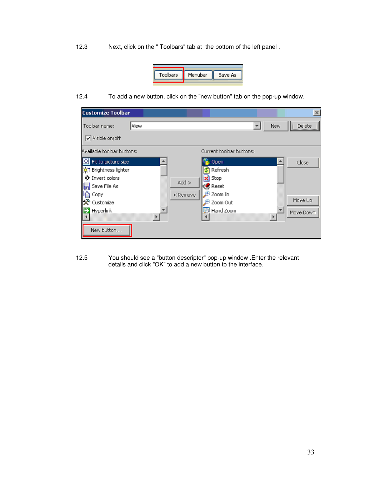12.3 Next, click on the " Toolbars" tab at the bottom of the left panel .



12.4 To add a new button, click on the "new button" tab on the pop-up window.

| <b>Customize Toolbar</b>                                                                                                        | $\times$                                                                             |
|---------------------------------------------------------------------------------------------------------------------------------|--------------------------------------------------------------------------------------|
| Toolbar name:<br>View<br>$\nabla$ Visible on/off                                                                                | Delete<br>New                                                                        |
| Available toolbar buttons:                                                                                                      | Current toolbar buttons:                                                             |
| Fit to picture size<br>ш<br>of Brightness lighter<br>Invert colors<br>0<br>Add<br>Save File As<br>< Remove<br>Copy<br>Customize | Open<br>Close<br>Refresh<br><b>x</b> Stop<br>Reset<br>Zoom In<br>Move Up<br>Zoom Out |
| Hyperlink<br>New button                                                                                                         | Hand Zoom<br>Move Down                                                               |

12.5 You should see a "button descriptor" pop-up window .Enter the relevant details and click "OK" to add a new button to the interface.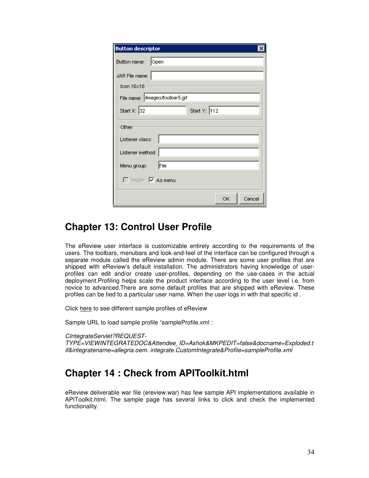<span id="page-33-0"></span>

| <b>Button descriptor</b>       |  |  |  |
|--------------------------------|--|--|--|
| Button name: Open              |  |  |  |
| JAR File name:                 |  |  |  |
| $-$ Icon 16 $\times$ 16        |  |  |  |
| File name: Amages/toolbar5.gif |  |  |  |
| Start Y: 112<br>Start X: 32    |  |  |  |
| Other                          |  |  |  |
| Listener class:                |  |  |  |
| Listener method:               |  |  |  |
| File<br>Menu group:            |  |  |  |
| □ Toggle ■ As menu             |  |  |  |
| Cancel<br>ОK                   |  |  |  |

## **Chapter 13: Control User Profile**

The eReview user interface is customizable entirely according to the requirements of the users. The toolbars, menubars and look-and-feel of the interface can be configured through a separate module called the eReview admin module. There are some user profiles that are shipped with eReview's default installation. The administrators having knowledge of userprofiles can edit and/or create user-profiles, depending on the use-cases in the actual deployment.Profiling helps scale the product interface according to the user level i.e. from novice to advanced.There are some default profiles that are shipped with eReview. These profiles can be tied to a particular user name. When the user logs in with that specific id .

Click [here](http://demo.ereviewonline.com/ereview/APIToolkit.htm) to see different sample profiles of eReview

Sample URL to load sample profile "sampleProfile.xml :

CIntegrateServlet?REQUEST-

TYPE=VIEWINTEGRATEDOC&Attendee\_ID=Ashok&MKPEDIT=false&docname=Exploded.t if&integratename=allegria.oem. integrate.CustomIntegrate&Profile=sampleProfile.xml

## **Chapter 14 : Check from APIToolkit.html**

eReview deliverable war file (ereview.war) has few sample API implementations available in APIToolkit.html. The sample page has several links to click and check the implemented functionality.